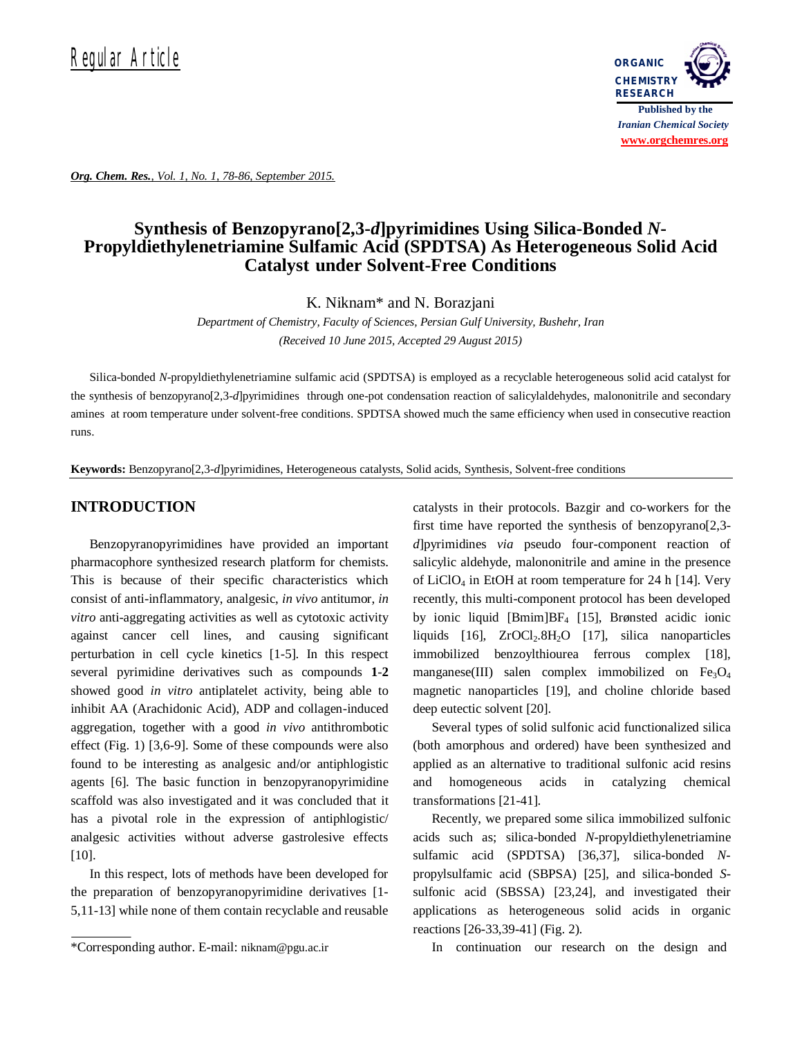

*Org. Chem. Res., Vol. 1, No. 1, 78-86, September 2015.*

# **Synthesis of Benzopyrano[2,3-***d***]pyrimidines Using Silica-Bonded** *N***-Propyldiethylenetriamine Sulfamic Acid (SPDTSA) As Heterogeneous Solid Acid Catalyst under Solvent-Free Conditions**

K. Niknam\* and N. Borazjani

*Department of Chemistry, Faculty of Sciences, Persian Gulf University, Bushehr, Iran (Received 10 June 2015, Accepted 29 August 2015)*

Silica-bonded *N*-propyldiethylenetriamine sulfamic acid (SPDTSA) is employed as a recyclable heterogeneous solid acid catalyst for the synthesis of benzopyrano[2,3-*d*]pyrimidines through one-pot condensation reaction of salicylaldehydes, malononitrile and secondary amines at room temperature under solvent-free conditions. SPDTSA showed much the same efficiency when used in consecutive reaction runs.

**Keywords:** Benzopyrano[2,3-*d*]pyrimidines, Heterogeneous catalysts, Solid acids, Synthesis, Solvent-free conditions

## **INTRODUCTION**

Benzopyranopyrimidines have provided an important pharmacophore synthesized research platform for chemists. This is because of their specific characteristics which consist of anti-inflammatory, analgesic, *in vivo* antitumor, *in vitro* anti-aggregating activities as well as cytotoxic activity against cancer cell lines, and causing significant perturbation in cell cycle kinetics [1-5]. In this respect several pyrimidine derivatives such as compounds **1**-**2** showed good *in vitro* antiplatelet activity, being able to inhibit AA (Arachidonic Acid), ADP and collagen-induced aggregation, together with a good *in vivo* antithrombotic effect (Fig. 1) [3,6-9]. Some of these compounds were also found to be interesting as analgesic and/or antiphlogistic agents [6]. The basic function in benzopyranopyrimidine scaffold was also investigated and it was concluded that it has a pivotal role in the expression of antiphlogistic/ analgesic activities without adverse gastrolesive effects [10].

In this respect, lots of methods have been developed for the preparation of benzopyranopyrimidine derivatives [1- 5,11-13] while none of them contain recyclable and reusable catalysts in their protocols. Bazgir and co-workers for the first time have reported the synthesis of benzopyrano[2,3 *d*]pyrimidines *via* pseudo four-component reaction of salicylic aldehyde, malononitrile and amine in the presence of LiClO<sub>4</sub> in EtOH at room temperature for 24 h [14]. Very recently, this multi-component protocol has been developed by ionic liquid [Bmim]BF4 [15], Brønsted acidic ionic liquids  $[16]$ ,  $ZrOCl<sub>2</sub>.8H<sub>2</sub>O$   $[17]$ , silica nanoparticles immobilized benzoylthiourea ferrous complex [18], manganese(III) salen complex immobilized on  $Fe<sub>3</sub>O<sub>4</sub>$ magnetic nanoparticles [19], and choline chloride based deep eutectic solvent [20].

Several types of solid sulfonic acid functionalized silica (both amorphous and ordered) have been synthesized and applied as an alternative to traditional sulfonic acid resins and homogeneous acids in catalyzing chemical transformations [21-41].

Recently, we prepared some silica immobilized sulfonic acids such as; silica-bonded *N*-propyldiethylenetriamine sulfamic acid (SPDTSA) [36,37], silica-bonded *N*propylsulfamic acid (SBPSA) [25], and silica-bonded *S*sulfonic acid (SBSSA) [23,24], and investigated their applications as heterogeneous solid acids in organic reactions [26-33,39-41] (Fig. 2).

In continuation our research on the design and

<sup>\*</sup>Corresponding author. E-mail: niknam@pgu.ac.ir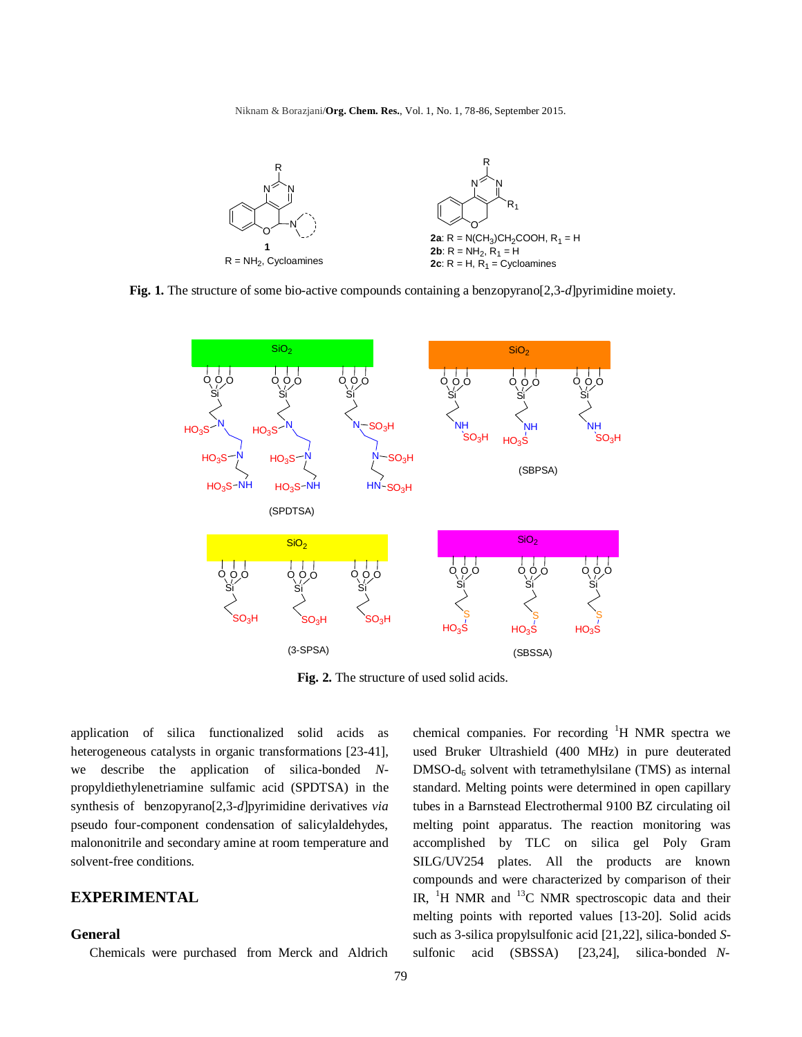Niknam & Borazjani/**Org. Chem. Res.**, Vol. 1, No. 1, 78-86, September 2015.



**Fig. 1.** The structure of some bio-active compounds containing a benzopyrano[2,3-*d*]pyrimidine moiety.



**Fig. 2.** The structure of used solid acids.

application of silica functionalized solid acids as heterogeneous catalysts in organic transformations [23-41], we describe the application of silica-bonded *N*propyldiethylenetriamine sulfamic acid (SPDTSA) in the synthesis of benzopyrano[2,3-*d*]pyrimidine derivatives *via* pseudo four-component condensation of salicylaldehydes, malononitrile and secondary amine at room temperature and solvent-free conditions.

# **EXPERIMENTAL**

### **General**

Chemicals were purchased from Merck and Aldrich

chemical companies. For recording  $H$  NMR spectra we used Bruker Ultrashield (400 MHz) in pure deuterated  $DMSO-d<sub>6</sub>$  solvent with tetramethylsilane (TMS) as internal standard. Melting points were determined in open capillary tubes in a Barnstead Electrothermal 9100 BZ circulating oil melting point apparatus. The reaction monitoring was accomplished by TLC on silica gel Poly Gram SILG/UV254 plates. All the products are known compounds and were characterized by comparison of their IR,  ${}^{1}H$  NMR and  ${}^{13}C$  NMR spectroscopic data and their melting points with reported values [13-20]. Solid acids such as 3-silica propylsulfonic acid [21,22], silica-bonded *S*sulfonic acid (SBSSA) [23,24], silica-bonded *N*-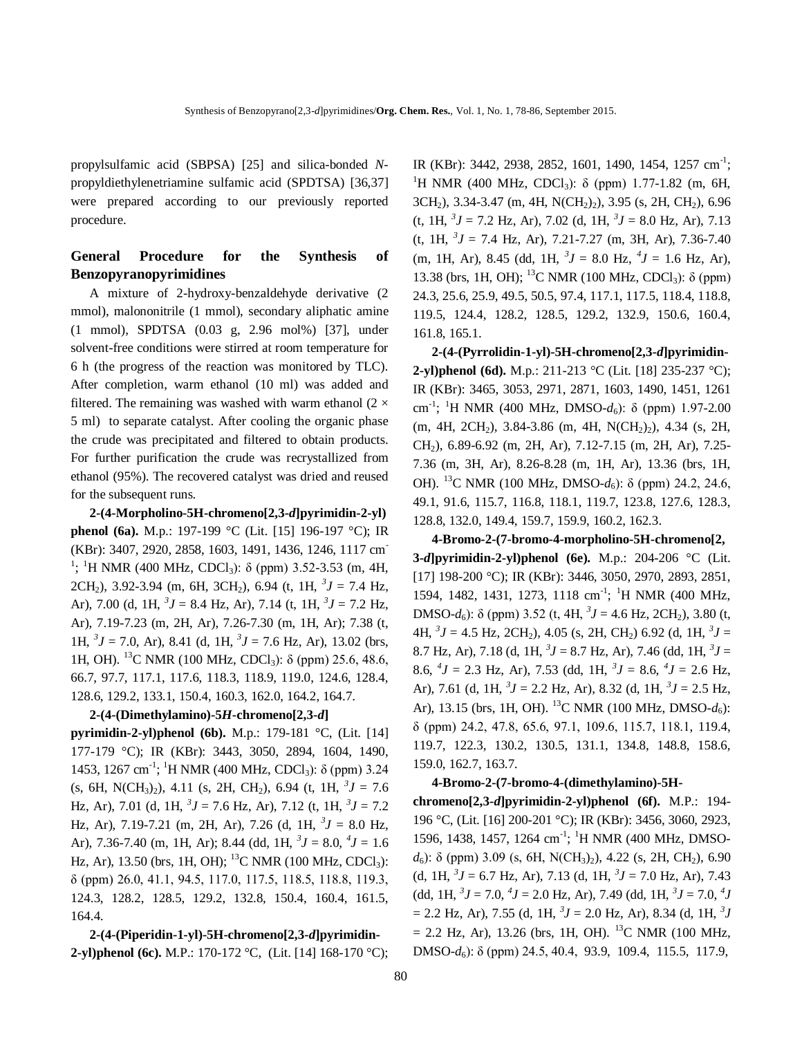propylsulfamic acid (SBPSA) [25] and silica-bonded *N*propyldiethylenetriamine sulfamic acid (SPDTSA) [36,37] were prepared according to our previously reported procedure.

# **General Procedure for the Synthesis of Benzopyranopyrimidines**

A mixture of 2-hydroxy-benzaldehyde derivative (2 mmol), malononitrile (1 mmol), secondary aliphatic amine (1 mmol), SPDTSA (0.03 g, 2.96 mol%) [37], under solvent-free conditions were stirred at room temperature for 6 h (the progress of the reaction was monitored by TLC). After completion, warm ethanol (10 ml) was added and filtered. The remaining was washed with warm ethanol  $(2 \times$ 5 ml) to separate catalyst. After cooling the organic phase the crude was precipitated and filtered to obtain products. For further purification the crude was recrystallized from ethanol (95%). The recovered catalyst was dried and reused for the subsequent runs.

**2-(4-Morpholino-5H-chromeno[2,3-***d***]pyrimidin-2-yl) phenol (6a).** M.p.: 197-199 °C (Lit. [15] 196-197 °C); IR (KBr): 3407, 2920, 2858, 1603, 1491, 1436, 1246, 1117 cm-<sup>1</sup>; <sup>1</sup>H NMR (400 MHz, CDCl<sub>3</sub>): δ (ppm) 3.52-3.53 (m, 4H, 2CH<sub>2</sub>), 3.92-3.94 (m, 6H, 3CH<sub>2</sub>), 6.94 (t, 1H,  ${}^{3}J = 7.4$  Hz, Ar), 7.00 (d, 1H,  ${}^{3}J = 8.4$  Hz, Ar), 7.14 (t, 1H,  ${}^{3}J = 7.2$  Hz, Ar), 7.19-7.23 (m, 2H, Ar), 7.26-7.30 (m, 1H, Ar); 7.38 (t, 1H,  ${}^{3}J = 7.0$ , Ar), 8.41 (d, 1H,  ${}^{3}J = 7.6$  Hz, Ar), 13.02 (brs, 1H, OH). <sup>13</sup>C NMR (100 MHz, CDCl3): δ (ppm) 25.6, 48.6, 66.7, 97.7, 117.1, 117.6, 118.3, 118.9, 119.0, 124.6, 128.4, 128.6, 129.2, 133.1, 150.4, 160.3, 162.0, 164.2, 164.7.

### **2-(4-(Dimethylamino)-5***H***-chromeno[2,3-***d***]**

**pyrimidin-2-yl)phenol (6b).** M.p.: 179-181 °C, (Lit. [14] 177-179 °C); IR (KBr): 3443, 3050, 2894, 1604, 1490, 1453, 1267 cm<sup>-1</sup>; <sup>1</sup>H NMR (400 MHz, CDCl<sub>3</sub>): δ (ppm) 3.24  $(s, 6H, N(CH_3)_2)$ , 4.11  $(s, 2H, CH_2)$ , 6.94  $(t, 1H, {}^3J = 7.6)$ Hz, Ar), 7.01 (d, 1H,  ${}^{3}J = 7.6$  Hz, Ar), 7.12 (t, 1H,  ${}^{3}J = 7.2$ Hz, Ar), 7.19-7.21 (m, 2H, Ar), 7.26 (d, 1H, *<sup>3</sup> J* = 8.0 Hz, Ar), 7.36-7.40 (m, 1H, Ar); 8.44 (dd, 1H,  ${}^{3}J = 8.0, {}^{4}J = 1.6$ Hz, Ar), 13.50 (brs, 1H, OH); <sup>13</sup>C NMR (100 MHz, CDCl<sub>3</sub>): δ (ppm) 26.0, 41.1, 94.5, 117.0, 117.5, 118.5, 118.8, 119.3, 124.3, 128.2, 128.5, 129.2, 132.8, 150.4, 160.4, 161.5, 164.4.

**2-(4-(Piperidin-1-yl)-5H-chromeno[2,3-***d***]pyrimidin-2-yl)phenol (6c).** M.P.: 170-172 °C, (Lit. [14] 168-170 °C);

IR (KBr): 3442, 2938, 2852, 1601, 1490, 1454, 1257 cm<sup>-1</sup>; <sup>1</sup>H NMR (400 MHz, CDCl<sub>3</sub>): δ (ppm) 1.77-1.82 (m, 6H, 3CH2), 3.34-3.47 (m, 4H, N(CH2)2), 3.95 (s, 2H, CH2), 6.96  $(t, 1H, {}^{3}J = 7.2 \text{ Hz}, \text{Ar}), 7.02 \text{ (d, 1H, } {}^{3}J = 8.0 \text{ Hz}, \text{ Ar}), 7.13$  $(t, 1H, {}^{3}J = 7.4$  Hz, Ar), 7.21-7.27 (m, 3H, Ar), 7.36-7.40  $(m, 1H, Ar), 8.45$  (dd,  $1H, {}^{3}J = 8.0$  Hz,  ${}^{4}J = 1.6$  Hz, Ar), 13.38 (brs, 1H, OH); <sup>13</sup>C NMR (100 MHz, CDCl<sub>3</sub>): δ (ppm) 24.3, 25.6, 25.9, 49.5, 50.5, 97.4, 117.1, 117.5, 118.4, 118.8, 119.5, 124.4, 128.2, 128.5, 129.2, 132.9, 150.6, 160.4, 161.8, 165.1.

**2-(4-(Pyrrolidin-1-yl)-5H-chromeno[2,3-***d***]pyrimidin-2-yl)phenol (6d).** M.p.: 211-213 °C (Lit. [18] 235-237 °C); IR (KBr): 3465, 3053, 2971, 2871, 1603, 1490, 1451, 1261 cm-1 ; <sup>1</sup>H NMR (400 MHz, DMSO-*d*6): δ (ppm) 1.97-2.00  $(m, 4H, 2CH_2), 3.84-3.86$   $(m, 4H, N(CH_2)_2), 4.34$   $(s, 2H,$ CH2), 6.89-6.92 (m, 2H, Ar), 7.12-7.15 (m, 2H, Ar), 7.25- 7.36 (m, 3H, Ar), 8.26-8.28 (m, 1H, Ar), 13.36 (brs, 1H, OH). <sup>13</sup>C NMR (100 MHz, DMSO-*d*6): δ (ppm) 24.2, 24.6, 49.1, 91.6, 115.7, 116.8, 118.1, 119.7, 123.8, 127.6, 128.3, 128.8, 132.0, 149.4, 159.7, 159.9, 160.2, 162.3.

**4-Bromo-2-(7-bromo-4-morpholino-5H-chromeno[2, 3-***d***]pyrimidin-2-yl)phenol (6e).** M.p.: 204-206 °C (Lit. [17] 198-200 °C); IR (KBr): 3446, 3050, 2970, 2893, 2851, 1594, 1482, 1431, 1273, 1118 cm<sup>-1</sup>; <sup>1</sup>H NMR (400 MHz, DMSO- $d_6$ ): δ (ppm) 3.52 (t, 4H,  ${}^3J = 4.6$  Hz, 2CH<sub>2</sub>), 3.80 (t, 4H,  ${}^{3}J = 4.5$  Hz, 2CH<sub>2</sub>), 4.05 (s, 2H, CH<sub>2</sub>) 6.92 (d, 1H,  ${}^{3}J =$ 8.7 Hz, Ar), 7.18 (d, 1H,  ${}^{3}J = 8.7$  Hz, Ar), 7.46 (dd, 1H,  ${}^{3}J =$ 8.6,  $^{4}J = 2.3$  Hz, Ar), 7.53 (dd, 1H,  $^{3}J = 8.6$ ,  $^{4}J = 2.6$  Hz, Ar), 7.61 (d, 1H,  ${}^{3}J = 2.2$  Hz, Ar), 8.32 (d, 1H,  ${}^{3}J = 2.5$  Hz, Ar), 13.15 (brs, 1H, OH). <sup>13</sup>C NMR (100 MHz, DMSO- $d_6$ ): δ (ppm) 24.2, 47.8, 65.6, 97.1, 109.6, 115.7, 118.1, 119.4, 119.7, 122.3, 130.2, 130.5, 131.1, 134.8, 148.8, 158.6, 159.0, 162.7, 163.7.

#### **4-Bromo-2-(7-bromo-4-(dimethylamino)-5H-**

**chromeno[2,3-***d***]pyrimidin-2-yl)phenol (6f).** M.P.: 194- 196 °C, (Lit. [16] 200-201 °C); IR (KBr): 3456, 3060, 2923, 1596, 1438, 1457, 1264 cm<sup>-1</sup>; <sup>1</sup>H NMR (400 MHz, DMSO*d*6): δ (ppm) 3.09 (s, 6H, N(CH3)2), 4.22 (s, 2H, CH2), 6.90 (d, 1H,  ${}^{3}J = 6.7$  Hz, Ar), 7.13 (d, 1H,  ${}^{3}J = 7.0$  Hz, Ar), 7.43  $(\text{dd}, 1H, {}^{3}J = 7.0, {}^{4}J = 2.0 \text{ Hz}, \text{Ar}), 7.49 \text{ (dd, 1H, } {}^{3}J = 7.0, {}^{4}J)$  $= 2.2$  Hz, Ar), 7.55 (d, 1H,  ${}^{3}J = 2.0$  Hz, Ar), 8.34 (d, 1H,  ${}^{3}J$  $= 2.2$  Hz, Ar), 13.26 (brs, 1H, OH). <sup>13</sup>C NMR (100 MHz, DMSO-*d*6): δ (ppm) 24.5, 40.4, 93.9, 109.4, 115.5, 117.9,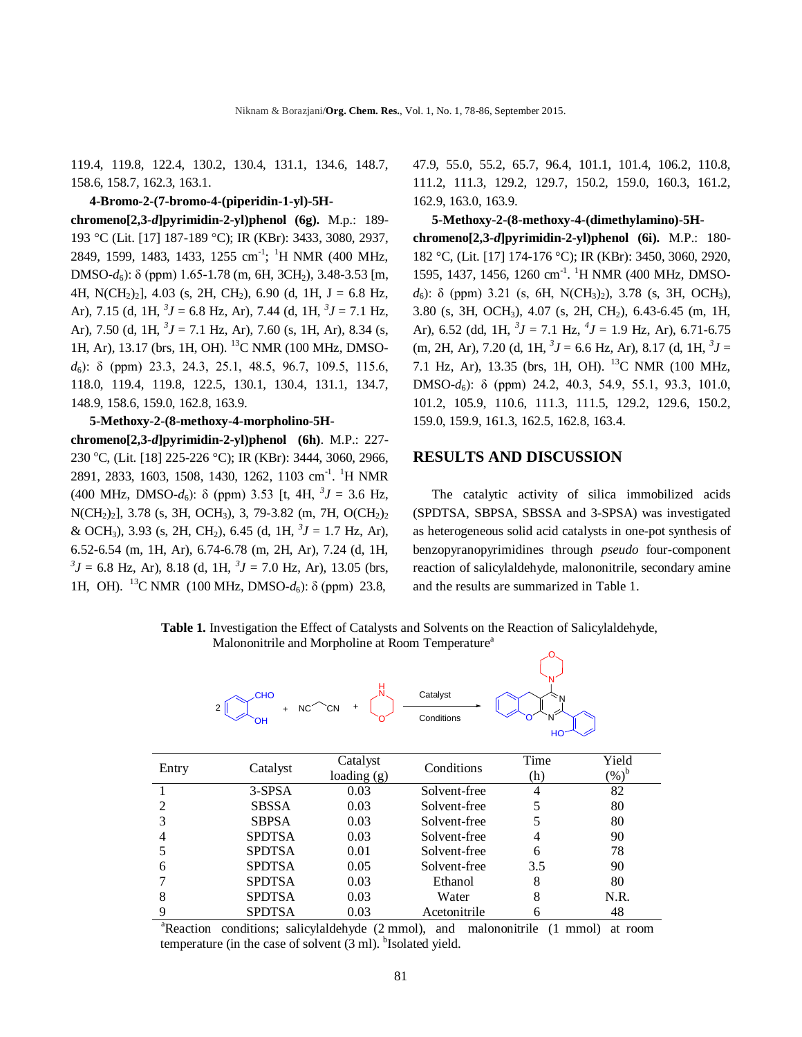119.4, 119.8, 122.4, 130.2, 130.4, 131.1, 134.6, 148.7, 158.6, 158.7, 162.3, 163.1.

**4-Bromo-2-(7-bromo-4-(piperidin-1-yl)-5Hchromeno[2,3-***d***]pyrimidin-2-yl)phenol (6g).** M.p.: 189- 193 °C (Lit. [17] 187-189 °C); IR (KBr): 3433, 3080, 2937, 2849, 1599, 1483, 1433, 1255 cm<sup>-1</sup>; <sup>1</sup>H NMR (400 MHz, DMSO-*d*6): δ (ppm) 1.65-1.78 (m, 6H, 3CH2), 3.48-3.53 [m, 4H, N(CH<sub>2</sub>)<sub>2</sub>], 4.03 (s, 2H, CH<sub>2</sub>), 6.90 (d, 1H, J = 6.8 Hz, Ar), 7.15 (d, 1H,  ${}^{3}J = 6.8$  Hz, Ar), 7.44 (d, 1H,  ${}^{3}J = 7.1$  Hz, Ar), 7.50 (d, 1H,  ${}^{3}J = 7.1$  Hz, Ar), 7.60 (s, 1H, Ar), 8.34 (s, 1H, Ar), 13.17 (brs, 1H, OH). <sup>13</sup>C NMR (100 MHz, DMSO*d*6): δ (ppm) 23.3, 24.3, 25.1, 48.5, 96.7, 109.5, 115.6, 118.0, 119.4, 119.8, 122.5, 130.1, 130.4, 131.1, 134.7, 148.9, 158.6, 159.0, 162.8, 163.9.

#### **5-Methoxy-2-(8-methoxy-4-morpholino-5H-**

**chromeno[2,3-***d***]pyrimidin-2-yl)phenol (6h)**. M.P.: 227- 230 °C, (Lit. [18] 225-226 °C); IR (KBr): 3444, 3060, 2966, 2891, 2833, 1603, 1508, 1430, 1262, 1103 cm<sup>-1</sup>. <sup>1</sup>H NMR (400 MHz, DMSO- $d_6$ ):  $\delta$  (ppm) 3.53 [t, 4H,  ${}^3J = 3.6$  Hz,  $N(CH_2)_2$ ], 3.78 (s, 3H, OCH<sub>3</sub>), 3, 79-3.82 (m, 7H, O(CH<sub>2</sub>)<sub>2</sub> & OCH<sub>3</sub>), 3.93 (s, 2H, CH<sub>2</sub>), 6.45 (d, 1H,  ${}^{3}J = 1.7$  Hz, Ar), 6.52-6.54 (m, 1H, Ar), 6.74-6.78 (m, 2H, Ar), 7.24 (d, 1H,  ${}^{3}J$  = 6.8 Hz, Ar), 8.18 (d, 1H,  ${}^{3}J$  = 7.0 Hz, Ar), 13.05 (brs, 1H, OH). <sup>13</sup>C NMR (100 MHz, DMSO-*d*6): δ (ppm) 23.8,

CHO

 $+$  NC<sup> $\sim$ </sup>CN  $+$ 

47.9, 55.0, 55.2, 65.7, 96.4, 101.1, 101.4, 106.2, 110.8, 111.2, 111.3, 129.2, 129.7, 150.2, 159.0, 160.3, 161.2, 162.9, 163.0, 163.9.

**5-Methoxy-2-(8-methoxy-4-(dimethylamino)-5Hchromeno[2,3-***d***]pyrimidin-2-yl)phenol (6i).** M.P.: 180- 182 °C, (Lit. [17] 174-176 °C); IR (KBr): 3450, 3060, 2920, 1595, 1437, 1456, 1260 cm<sup>-1</sup>. <sup>1</sup>H NMR (400 MHz, DMSO*d*<sub>6</sub>): δ (ppm) 3.21 (s, 6H, N(CH<sub>3</sub>)<sub>2</sub>), 3.78 (s, 3H, OCH<sub>3</sub>), 3.80 (s, 3H, OCH3), 4.07 (s, 2H, CH2), 6.43-6.45 (m, 1H, Ar), 6.52 (dd, 1H,  ${}^{3}J = 7.1$  Hz,  ${}^{4}J = 1.9$  Hz, Ar), 6.71-6.75  $(m, 2H, Ar)$ , 7.20 (d, 1H,  ${}^{3}J = 6.6$  Hz, Ar), 8.17 (d, 1H,  ${}^{3}J =$ 7.1 Hz, Ar), 13.35 (brs, 1H, OH). <sup>13</sup>C NMR (100 MHz, DMSO-*d*6): δ (ppm) 24.2, 40.3, 54.9, 55.1, 93.3, 101.0, 101.2, 105.9, 110.6, 111.3, 111.5, 129.2, 129.6, 150.2, 159.0, 159.9, 161.3, 162.5, 162.8, 163.4.

### **RESULTS AND DISCUSSION**

The catalytic activity of silica immobilized acids (SPDTSA, SBPSA, SBSSA and 3-SPSA) was investigated as heterogeneous solid acid catalysts in one-pot synthesis of benzopyranopyrimidines through *pseudo* four-component reaction of salicylaldehyde, malononitrile, secondary amine and the results are summarized in Table 1.

> N N

 **Table 1.** Investigation the Effect of Catalysts and Solvents on the Reaction of Salicylaldehyde, Malononitrile and Morpholine at Room Temperature<sup>a</sup> O

H N

Catalyst

|                | 2 <sub>1</sub><br>$+ NC2$<br>OН | `CN<br>$+$              | Conditions   | HO          |                            |
|----------------|---------------------------------|-------------------------|--------------|-------------|----------------------------|
| Entry          | Catalyst                        | Catalyst<br>loading (g) | Conditions   | Time<br>(h) | Yield<br>$(\%)^{\text{b}}$ |
|                | $3-SPSA$                        | 0.03                    | Solvent-free | 4           | 82                         |
| 2              | <b>SBSSA</b>                    | 0.03                    | Solvent-free | 5           | 80                         |
| 3              | <b>SBPSA</b>                    | 0.03                    | Solvent-free | 5           | 80                         |
| $\overline{4}$ | <b>SPDTSA</b>                   | 0.03                    | Solvent-free | 4           | 90                         |
| 5              | <b>SPDTSA</b>                   | 0.01                    | Solvent-free | 6           | 78                         |
| 6              | <b>SPDTSA</b>                   | 0.05                    | Solvent-free | 3.5         | 90                         |
|                | <b>SPDTSA</b>                   | 0.03                    | Ethanol      | 8           | 80                         |
| 8              | <b>SPDTSA</b>                   | 0.03                    | Water        | 8           | N.R.                       |
| 9              | <b>SPDTSA</b>                   | 0.03                    | Acetonitrile | 6           | 48                         |

<sup>a</sup>Reaction conditions; salicylaldehyde (2 mmol), and malononitrile (1 mmol) at room temperature (in the case of solvent  $(3 \text{ ml})$ . <sup>b</sup>Isolated yield.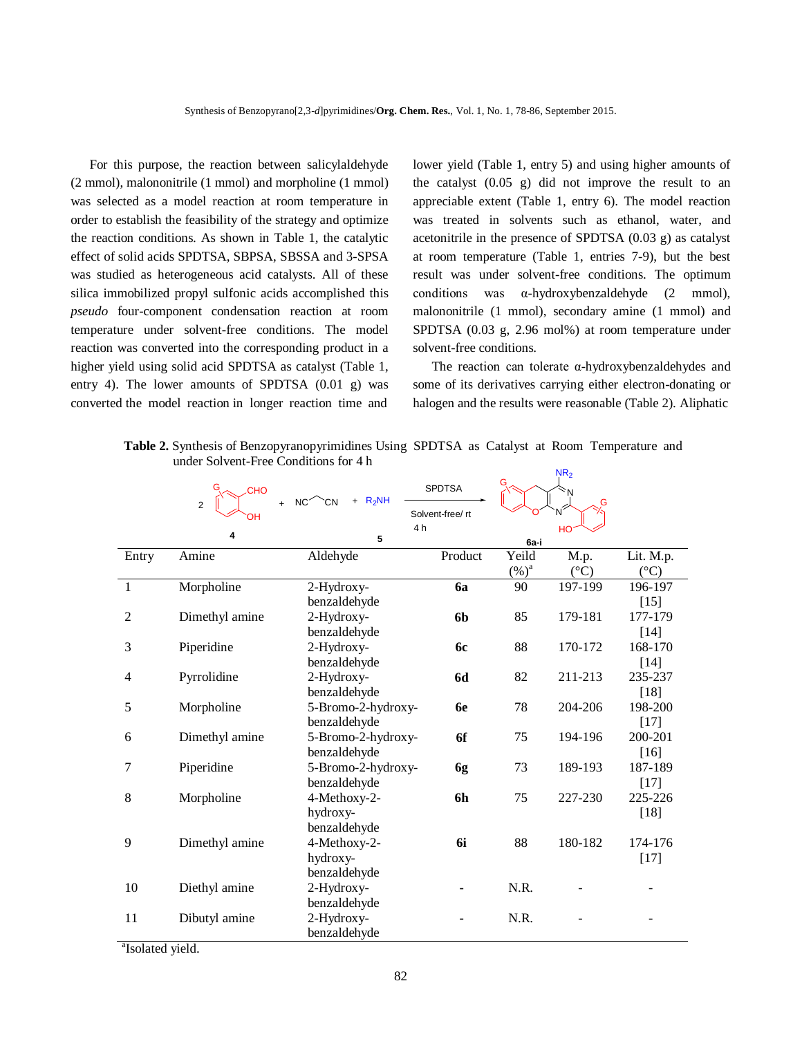For this purpose, the reaction between salicylaldehyde (2 mmol), malononitrile (1 mmol) and morpholine (1 mmol) was selected as a model reaction at room temperature in order to establish the feasibility of the strategy and optimize the reaction conditions. As shown in Table 1, the catalytic effect of solid acids SPDTSA, SBPSA, SBSSA and 3-SPSA was studied as heterogeneous acid catalysts. All of these silica immobilized propyl sulfonic acids accomplished this *pseudo* four-component condensation reaction at room temperature under solvent-free conditions. The model reaction was converted into the corresponding product in a higher yield using solid acid SPDTSA as catalyst (Table 1, entry 4). The lower amounts of SPDTSA (0.01 g) was converted the model reaction in longer reaction time and

lower yield (Table 1, entry 5) and using higher amounts of the catalyst (0.05 g) did not improve the result to an appreciable extent (Table 1, entry 6). The model reaction was treated in solvents such as ethanol, water, and acetonitrile in the presence of SPDTSA (0.03 g) as catalyst at room temperature (Table 1, entries 7-9), but the best result was under solvent-free conditions. The optimum conditions was α-hydroxybenzaldehyde (2 mmol), malononitrile (1 mmol), secondary amine (1 mmol) and SPDTSA (0.03 g, 2.96 mol%) at room temperature under solvent-free conditions.

The reaction can tolerate α-hydroxybenzaldehydes and some of its derivatives carrying either electron-donating or halogen and the results were reasonable (Table 2). Aliphatic

|                | G<br><b>CHO</b><br>$+$<br>2<br>OН | $+$ R <sub>2</sub> NH<br>NC <sup>2</sup><br>`CN<br>4 <sub>h</sub> | <b>SPDTSA</b><br>Solvent-free/ rt |          | N <sub>2</sub><br>'N<br>G |                 |
|----------------|-----------------------------------|-------------------------------------------------------------------|-----------------------------------|----------|---------------------------|-----------------|
|                | 4                                 | 5                                                                 |                                   | 6a-i     | HO                        |                 |
| Entry          | Amine                             | Aldehyde                                                          | Product                           | Yeild    | M.p.                      | Lit. M.p.       |
|                |                                   |                                                                   |                                   | $(\%)^a$ | $({}^{\circ}C)$           | $({}^{\circ}C)$ |
| $\mathbf{1}$   | Morpholine                        | 2-Hydroxy-                                                        | 6a                                | 90       | 197-199                   | 196-197         |
|                |                                   | benzaldehyde                                                      |                                   |          |                           | $[15]$          |
| $\overline{2}$ | Dimethyl amine                    | 2-Hydroxy-                                                        | 6 <sub>b</sub>                    | 85       | 179-181                   | 177-179         |
|                |                                   | benzaldehyde                                                      |                                   |          |                           | $[14]$          |
| 3              | Piperidine                        | 2-Hydroxy-                                                        | <b>6c</b>                         | 88       | 170-172                   | 168-170         |
|                |                                   | benzaldehyde                                                      |                                   |          |                           | $[14]$          |
| $\overline{4}$ | Pyrrolidine                       | 2-Hydroxy-                                                        | <b>6d</b>                         | 82       | 211-213                   | 235-237         |
|                |                                   | benzaldehyde                                                      |                                   |          |                           | $[18]$          |
| 5              | Morpholine                        | 5-Bromo-2-hydroxy-                                                | <b>6е</b>                         | 78       | 204-206                   | 198-200         |
|                |                                   | benzaldehyde                                                      |                                   |          |                           | $[17]$          |
| 6              | Dimethyl amine                    | 5-Bromo-2-hydroxy-                                                | 6f                                | 75       | 194-196                   | 200-201         |
|                |                                   | benzaldehyde                                                      |                                   |          |                           | $[16]$          |
| 7              | Piperidine                        | 5-Bromo-2-hydroxy-                                                | 6g                                | 73       | 189-193                   | 187-189         |
|                |                                   | benzaldehyde                                                      |                                   |          |                           | $[17]$          |
| 8              | Morpholine                        | 4-Methoxy-2-                                                      | 6h                                | 75       | 227-230                   | 225-226         |
|                |                                   | hydroxy-                                                          |                                   |          |                           | $[18]$          |
|                |                                   | benzaldehyde                                                      |                                   |          |                           |                 |
| 9              | Dimethyl amine                    | 4-Methoxy-2-                                                      | 6i                                | 88       | 180-182                   | 174-176         |
|                |                                   | hydroxy-                                                          |                                   |          |                           | $[17]$          |
|                |                                   | benzaldehyde                                                      |                                   |          |                           |                 |
| 10             | Diethyl amine                     | 2-Hydroxy-                                                        |                                   | N.R.     |                           |                 |
|                |                                   | benzaldehyde                                                      |                                   |          |                           |                 |
| 11             | Dibutyl amine                     | 2-Hydroxy-                                                        |                                   | N.R.     |                           |                 |
|                |                                   | benzaldehyde                                                      |                                   |          |                           |                 |

 **Table 2.** Synthesis of Benzopyranopyrimidines Using SPDTSA as Catalyst at Room Temperature and under Solvent-Free Conditions for 4 h **NID** 

<sup>a</sup>Isolated yield.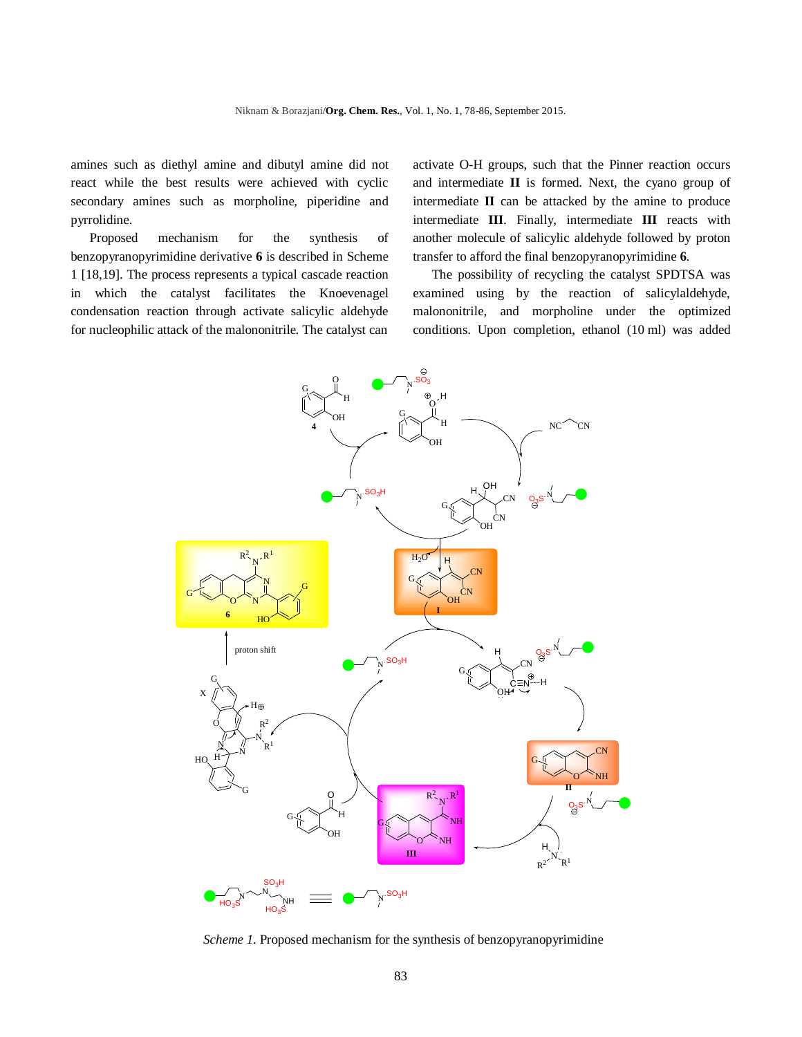amines such as diethyl amine and dibutyl amine did not react while the best results were achieved with cyclic secondary amines such as morpholine, piperidine and pyrrolidine.

Proposed mechanism for the synthesis of benzopyranopyrimidine derivative **6** is described in Scheme 1 [18,19]. The process represents a typical cascade reaction in which the catalyst facilitates the Knoevenagel condensation reaction through activate salicylic aldehyde for nucleophilic attack of the malononitrile. The catalyst can activate O-H groups, such that the Pinner reaction occurs and intermediate **II** is formed. Next, the cyano group of intermediate **II** can be attacked by the amine to produce intermediate **III**. Finally, intermediate **III** reacts with another molecule of salicylic aldehyde followed by proton transfer to afford the final benzopyranopyrimidine **6**.

The possibility of recycling the catalyst SPDTSA was examined using by the reaction of salicylaldehyde, malononitrile, and morpholine under the optimized conditions. Upon completion, ethanol (10 ml) was added



*Scheme 1*. Proposed mechanism for the synthesis of benzopyranopyrimidine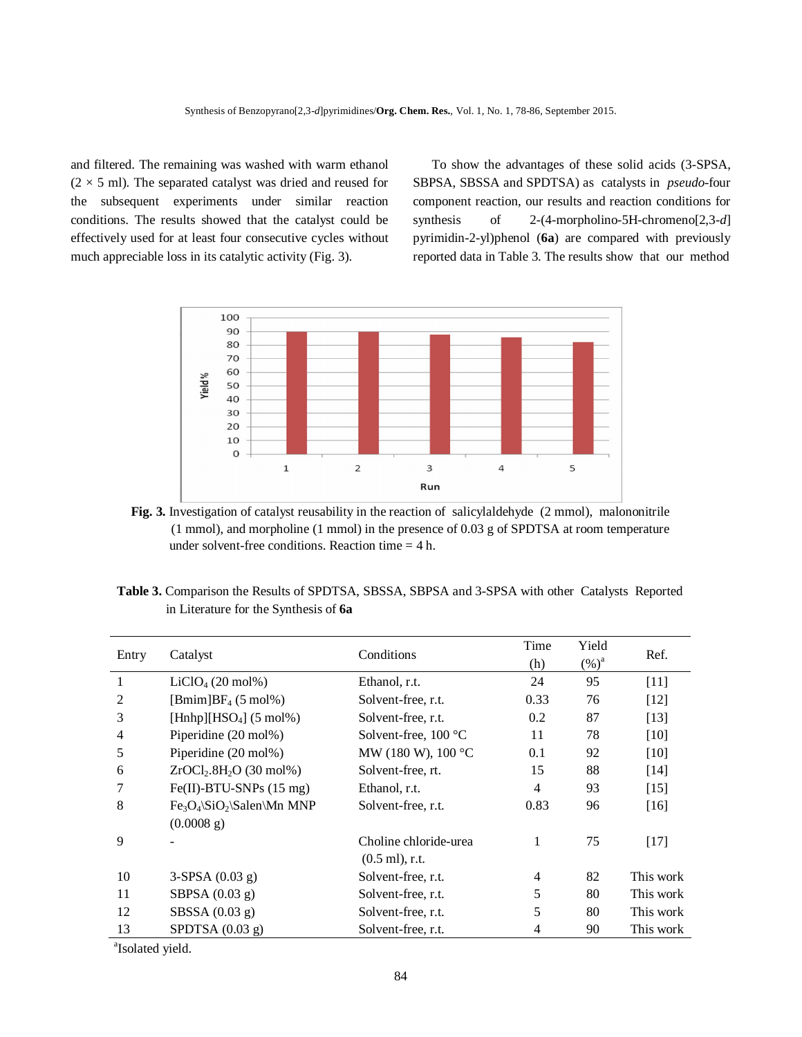and filtered. The remaining was washed with warm ethanol  $(2 \times 5 \text{ ml})$ . The separated catalyst was dried and reused for the subsequent experiments under similar reaction conditions. The results showed that the catalyst could be effectively used for at least four consecutive cycles without much appreciable loss in its catalytic activity (Fig. 3).

To show the advantages of these solid acids (3-SPSA, SBPSA, SBSSA and SPDTSA) as catalysts in *pseudo*-four component reaction, our results and reaction conditions for synthesis of 2-(4-morpholino-5H-chromeno[2,3-*d*] pyrimidin-2-yl)phenol (**6a**) are compared with previously reported data in Table 3. The results show that our method



**Fig. 3.** Investigation of catalyst reusability in the reaction of salicylaldehyde (2 mmol), malononitrile (1 mmol), and morpholine (1 mmol) in the presence of 0.03 g of SPDTSA at room temperature under solvent-free conditions. Reaction time  $= 4$  h.

| Table 3. Comparison the Results of SPDTSA, SBSSA, SBPSA and 3-SPSA with other Catalysts Reported |  |  |  |  |  |
|--------------------------------------------------------------------------------------------------|--|--|--|--|--|
| in Literature for the Synthesis of 6a                                                            |  |  |  |  |  |

| Entry          | Catalyst                                      | Conditions                    | Time<br>(h) | Yield<br>$(\%)^a$ | Ref.      |
|----------------|-----------------------------------------------|-------------------------------|-------------|-------------------|-----------|
| 1              | $LiClO4$ (20 mol%)                            | Ethanol, r.t.                 | 24          | 95                | $[11]$    |
| 2              | $[Bmim]BF_4(5 mol\%)$                         | Solvent-free, r.t.            | 0.33        | 76                | [12]      |
| 3              | [Hnhp][HSO <sub>4</sub> ] $(5 \text{ mol\%})$ | Solvent-free, r.t.            | 0.2         | 87                | [13]      |
| $\overline{4}$ | Piperidine (20 mol%)                          | Solvent-free, $100^{\circ}$ C | 11          | 78                | $[10]$    |
| 5              | Piperidine (20 mol%)                          | MW (180 W), 100 °C            | 0.1         | 92                | [10]      |
| 6              | $ZrOCl2.8H2O$ (30 mol%)                       | Solvent-free, rt.             | 15          | 88                | $[14]$    |
|                | $Fe(II)$ -BTU-SNPs $(15 \text{ mg})$          | Ethanol, r.t.                 | 4           | 93                | $[15]$    |
| 8              | $Fe3O4\S1O2\Salen\Mn MNP$                     | Solvent-free, r.t.            | 0.83        | 96                | $[16]$    |
|                | (0.0008 g)                                    |                               |             |                   |           |
| 9              |                                               | Choline chloride-urea         | 1           | 75                | $[17]$    |
|                |                                               | $(0.5 \text{ ml})$ , r.t.     |             |                   |           |
| 10             | $3-SPSA (0.03 g)$                             | Solvent-free, r.t.            | 4           | 82                | This work |
| 11             | SBPSA $(0.03 g)$                              | Solvent-free, r.t.            | 5           | 80                | This work |
| 12             | SBSSA $(0.03 g)$                              | Solvent-free, r.t.            | 5           | 80                | This work |
| 13             | SPDTSA $(0.03 g)$                             | Solvent-free, r.t.            | 4           | 90                | This work |

<sup>a</sup>Isolated yield.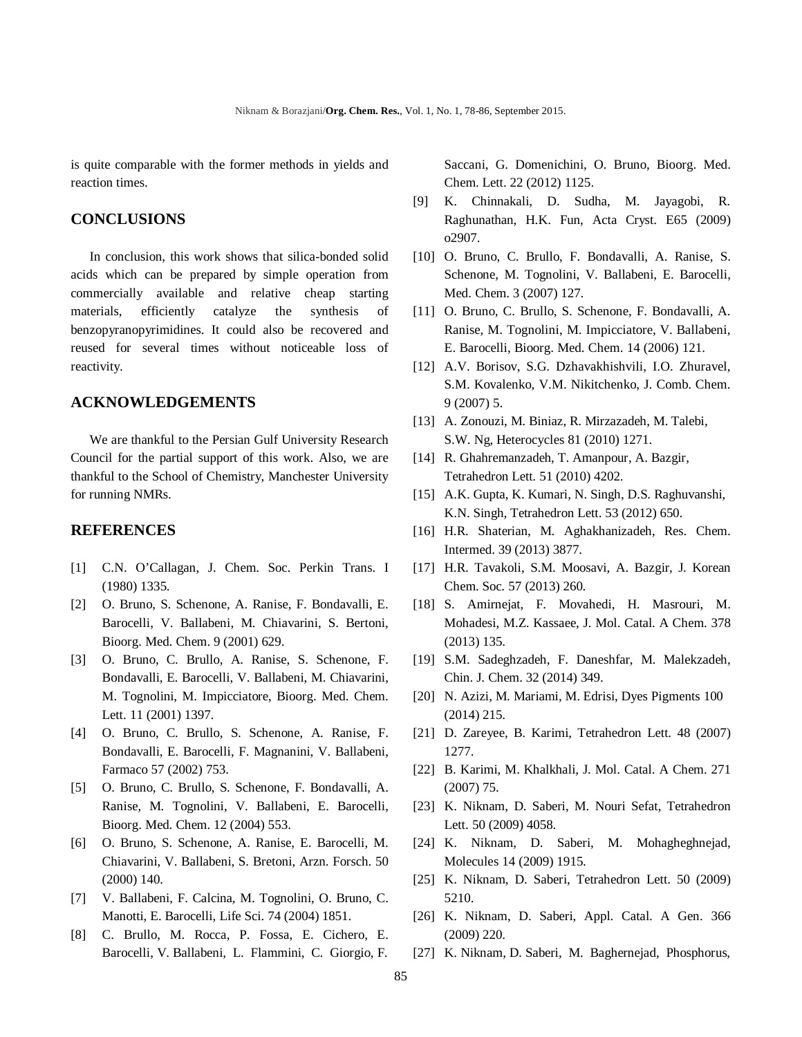is quite comparable with the former methods in yields and reaction times.

## **CONCLUSIONS**

In conclusion, this work shows that silica-bonded solid acids which can be prepared by simple operation from commercially available and relative cheap starting materials, efficiently catalyze the synthesis of benzopyranopyrimidines. It could also be recovered and reused for several times without noticeable loss of reactivity.

# **ACKNOWLEDGEMENTS**

We are thankful to the Persian Gulf University Research Council for the partial support of this work. Also, we are thankful to the School of Chemistry, Manchester University for running NMRs.

### **REFERENCES**

- [1] C.N. O'Callagan, J. Chem. Soc. Perkin Trans. I (1980) 1335.
- [2] O. Bruno, S. Schenone, A. Ranise, F. Bondavalli, E. Barocelli, V. Ballabeni, M. Chiavarini, S. Bertoni, Bioorg. Med. Chem. 9 (2001) 629.
- [3] O. Bruno, C. Brullo, A. Ranise, S. Schenone, F. Bondavalli, E. Barocelli, V. Ballabeni, M. Chiavarini, M. Tognolini, M. Impicciatore, Bioorg. Med. Chem. Lett. 11 (2001) 1397.
- [4] O. Bruno, C. Brullo, S. Schenone, A. Ranise, F. Bondavalli, E. Barocelli, F. Magnanini, V. Ballabeni, Farmaco 57 (2002) 753.
- [5] O. Bruno, C. Brullo, S. Schenone, F. Bondavalli, A. Ranise, M. Tognolini, V. Ballabeni, E. Barocelli, Bioorg. Med. Chem. 12 (2004) 553.
- [6] O. Bruno, S. Schenone, A. Ranise, E. Barocelli, M. Chiavarini, V. Ballabeni, S. Bretoni, Arzn. Forsch. 50 (2000) 140.
- [7] V. Ballabeni, F. Calcina, M. Tognolini, O. Bruno, C. Manotti, E. Barocelli, Life Sci. 74 (2004) 1851.
- [8] C. Brullo, M. Rocca, P. Fossa, E. Cichero, E. Barocelli, V. Ballabeni, L. Flammini, C. Giorgio, F.

Saccani, G. Domenichini, O. Bruno, Bioorg. Med. Chem. Lett. 22 (2012) 1125.

- [9] K. Chinnakali, D. Sudha, M. Jayagobi, R. Raghunathan, H.K. Fun, Acta Cryst. E65 (2009) o2907.
- [10] O. Bruno, C. Brullo, F. Bondavalli, A. Ranise, S. Schenone, M. Tognolini, V. Ballabeni, E. Barocelli, Med. Chem. 3 (2007) 127.
- [11] O. Bruno, C. Brullo, S. Schenone, F. Bondavalli, A. Ranise, M. Tognolini, M. Impicciatore, V. Ballabeni, E. Barocelli, Bioorg. Med. Chem. 14 (2006) 121.
- [12] A.V. Borisov, S.G. Dzhavakhishvili, I.O. Zhuravel, S.M. Kovalenko, V.M. Nikitchenko, J. Comb. Chem. 9 (2007) 5.
- [13] A. Zonouzi, M. Biniaz, R. Mirzazadeh, M. Talebi, S.W. Ng, Heterocycles 81 (2010) 1271.
- [14] R. Ghahremanzadeh, T. Amanpour, A. Bazgir, Tetrahedron Lett. 51 (2010) 4202.
- [15] A.K. Gupta, K. Kumari, N. Singh, D.S. Raghuvanshi, K.N. Singh, Tetrahedron Lett. 53 (2012) 650.
- [16] H.R. Shaterian, M. Aghakhanizadeh, Res. Chem. Intermed. 39 (2013) 3877.
- [17] H.R. Tavakoli, S.M. Moosavi, A. Bazgir, J. Korean Chem. Soc. 57 (2013) 260.
- [18] S. Amirnejat, F. Movahedi, H. Masrouri, M. Mohadesi, M.Z. Kassaee, J. Mol. Catal. A Chem. 378 (2013) 135.
- [19] S.M. Sadeghzadeh, F. Daneshfar, M. Malekzadeh, Chin. J. Chem. 32 (2014) 349.
- [20] N. Azizi, M. Mariami, M. Edrisi, Dyes Pigments 100 (2014) 215.
- [21] D. Zareyee, B. Karimi, Tetrahedron Lett. 48 (2007) 1277.
- [22] B. Karimi, M. Khalkhali, J. Mol. Catal. A Chem. 271 (2007) 75.
- [23] K. Niknam, D. Saberi, M. Nouri Sefat, Tetrahedron Lett. 50 (2009) 4058.
- [24] K. Niknam, D. Saberi, M. Mohagheghnejad, Molecules 14 (2009) 1915.
- [25] K. Niknam, D. Saberi, Tetrahedron Lett. 50 (2009) 5210.
- [26] K. Niknam, D. Saberi, Appl. Catal. A Gen. 366 (2009) 220.
- [27] K. Niknam, D. Saberi, M. Baghernejad, Phosphorus,